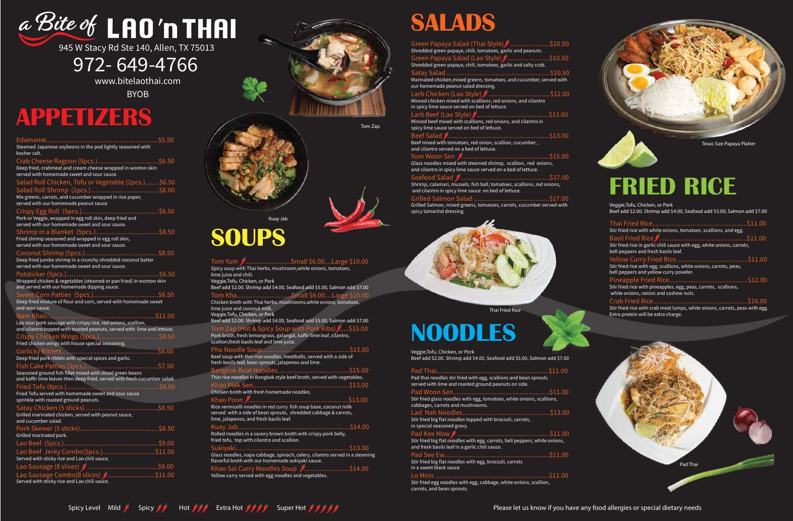# a Bite of LAO'n THAI

945 W Stacy Rd Ste 140, Allen, TX 75013

## 972-649-4766

www.bitelaothai.com

**BYOB** 

# **SALADS**

| Green Papaya Salad (Thai Style) (\$10.50                                                                                                              |          |
|-------------------------------------------------------------------------------------------------------------------------------------------------------|----------|
| Shredded green papaya, chili, tomatoes, garlic and peanuts.                                                                                           |          |
| Green Papaya Salad (Lao Style) [\$10.50                                                                                                               |          |
| Shredded green papaya, chili, tomatoes, garlic and salty crab.                                                                                        |          |
| Satay Salad.                                                                                                                                          | \$10.50  |
| Marinated chicken, mixed greens, tomatoes, and cucumber, served with<br>our homemade peanut salad dressing.                                           |          |
|                                                                                                                                                       |          |
| Minced chicken mixed with scallions, red onions, and cilantro<br>in spicy lime sauce served on bed of lettuce.                                        |          |
| Minced beef mixed with scallions, red onions, and cilantro in<br>spicy lime sauce served on bed of lettuce.                                           | \$13.00  |
| Beef Salad                                                                                                                                            | .\$13.00 |
| Beef mixed with tomatoes, red onion, scallion, cucumber,<br>and cilantro served on a bed of lettuce.                                                  |          |
| Yum Woon Sen                                                                                                                                          | \$15.00  |
| Glass noodles mixed with steamed shrimp, scallion, red onions,<br>and cilantro in spicy lime sauce served on a bed of lettuce.                        |          |
| <b>Seafood Salad</b><br>Shrimp, calamari, mussels, fish ball, tomatoes, scallions, red onions,<br>and cilantro in spicy lime sauce on bed of lettuce. | S17.00.  |
|                                                                                                                                                       | \$17.00  |
| Grilled Salmon, mixed greens, tomatoes, carrots, cucumber served with<br>spicy tamarind dressing.                                                     |          |

 $\mathbf{0}$ 

 $\mathbf{0}$ 

 $\mathbf{0}$ 

# **APPETIZERS**

| Edamame<br>Steamed Japanese soybeans in the pod lightly seasoned with<br>kosher salt.                                                    | \$5.50  |
|------------------------------------------------------------------------------------------------------------------------------------------|---------|
| Deep fried, crabmeat and cream cheese wrapped in wonton skin<br>served with homemade sweet and sour sauce.                               | 56.50   |
| Salad Roll Chicken, Tofu or Vegetable (2pcs.)\$6.50                                                                                      |         |
|                                                                                                                                          |         |
| served with our homemade peanut sauce.                                                                                                   |         |
| Crispy Egg Roll (5pcs.).<br>Pork or Veggie, wrapped in egg roll skin, deep fried and<br>served with our homemade sweet and sour sauce.   | \$6.50  |
| Shrimp in a Blanket (5pcs.)<br>Fried shrimp seasoned and wrapped in egg roll skin,<br>served with our homemade sweet and sour sauce.     | \$8.50  |
| Coconut Shrimp (5pcs.)<br>Deep fried jumbo shrimp in a crunchy shredded coconut batter<br>served with our homemade sweet and sour sauce. | \$8.50  |
| Potsticker (5pcs.)<br>Wrapped chicken & vegetables (steamed or pan fried) in wonton skin<br>and served with our homemade dipping sauce.  | \$6.50  |
|                                                                                                                                          | \$6.50  |
| Deep fried mixture of flour and corn, served with homemade sweet<br>and sour sauce.                                                      |         |
| Nam Khao                                                                                                                                 | \$11.00 |
| Lao sour pork sausage with crispy rice, red onions, scallion,<br>and cilantro topped with toasted peanuts, served with lime and lettuce. |         |
| Crispy Chicken Wings (5pcs.)<br>\$8.50                                                                                                   |         |
| Fried chicken wings with house special seasoning.                                                                                        |         |
| \$8.00<br>Deep fried pork riblets with special spices and garlic.                                                                        |         |
|                                                                                                                                          | \$7.50  |
| Fish Cake Patties (5pcs.)<br>Seasoned ground fish fillet mixed with sliced green beans                                                   |         |
| and kaffir lime leaves then deep fried, served with fresh cucumber salad.                                                                |         |
| Fried Tofu (8pcs.)                                                                                                                       | \$8.00  |
| Fried Tofu served with homemade sweet and sour sauce<br>sprinkle with roasted ground peanuts.                                            |         |
| Satay Chicken (5 sticks).<br>Grilled marinated chicken, served with peanut sauce,<br>and cucumber salad.                                 | \$8.50  |
|                                                                                                                                          |         |
|                                                                                                                                          |         |
| Grilled marinated pork.                                                                                                                  |         |
| Lao Beef (5pcs.)                                                                                                                         |         |
| Lao Beef Jerky Combo(5pcs.)\$11.00<br>Served with sticky rice and Lao chili sauce.                                                       |         |
|                                                                                                                                          |         |



  $.512.00$ Stir fried rice with pineapples, egg, peas, carrots, scallions, white onions, raisins and cashew nuts.

Crab Fried Rice..  $.516.00$ Stir fried rice with crab meat lumps, white onions, carrots, peas with egg. Extra protein will be extra charge.

# **SOUPS**

| . Tom Yum                                                                                                                           | /Small \$6.00Large \$10.00 |         |
|-------------------------------------------------------------------------------------------------------------------------------------|----------------------------|---------|
| Spicy soup with Thai herbs, mushroom, white onions, tomatoes,<br>lime juice and chili.                                              |                            |         |
| Veggie, Tofu, Chicken, or Pork                                                                                                      |                            |         |
| Beef add \$2.00. Shrimp add \$4.00, Seafood add \$5.00, Salmon add \$7.00                                                           |                            |         |
| Tom KhaSmall \$6.00Large \$10.00                                                                                                    |                            |         |
| Chicken broth with Thai herbs, mushrooms, white onions, tomatoes,<br>lime juice and coconut milk.<br>Veggie, Tofu, Chicken, or Pork |                            |         |
| Beef add \$2.00. Shrimp add \$4.00, Seafood add \$5.00, Salmon add \$7.00                                                           |                            |         |
| Tom Zap (Hot & Spicy Soup with Pork Ribs) [\$15.00                                                                                  |                            |         |
| Pork broth, fresh lemongrass, galangal, kaffir lime leaf, cilantro,<br>scallion, fresh basils leaf and lime juice.                  |                            |         |
|                                                                                                                                     |                            | \$13.00 |
| Beef soup with thin rice noodles, meatballs, served with a side of<br>fresh basils leaf, bean sprouts, jalapenos and lime.          |                            |         |
| Bangkok Boat Noodles                                                                                                                |                            | \$15.00 |
| Thin rice noodles in Bangkok style beef broth, served with vegetables.                                                              |                            |         |
|                                                                                                                                     |                            |         |
| Chicken broth with fresh homemade noodles.                                                                                          |                            |         |
| Khao Poon <i>∎</i> …                                                                                                                |                            | \$13.00 |
| Rice vermicelli noodles in red curry fish soup base, coconut milk                                                                   |                            |         |
| served with a side of bean sprouts, shredded cabbage & carrots,<br>lime, jalapenos, and fresh basils leaf.                          |                            |         |
| Kuay Jab                                                                                                                            |                            |         |
| Rolled noodles in a savory brown broth with crispy pork belly,<br>fried tofu, top with cilantro and scallion.                       |                            |         |
| Sukiyaki.                                                                                                                           |                            | \$13.00 |
| Glass noodles, napa cabbage, spinach, celery, cilantro served in a steaming<br>flavorful broth with our homemade sukiyaki sauce.    |                            |         |
| Khao Soi Curry Noodles Soup                                                                                                         | $\sqrt{2}$ \$14.00         |         |
| Yellow curry served with egg noodles and vegetables.                                                                                |                            |         |

Thai Fried Rice

Texas Size Papaya Platter

Tom Zap

Pad Thai

Kuay Jab



Please let us know if you have any food allergies or special dietary needs

# **NOODLES**

Veggie,Tofu, Chicken, or Pork Beef add \$2.00. Shrimp add \$4.00, Seafood add \$5.00, Salmon add \$7.00

| Pad thai noodles stir fried with egg, scallions and bean sprouts<br>served with lime and roasted ground peanuts on side.     |  |
|------------------------------------------------------------------------------------------------------------------------------|--|
|                                                                                                                              |  |
| Stir fried glass noodles with egg, tomatoes, white onions, scallions,<br>cabbages, carrots and mushrooms.                    |  |
| Stir fried big flat noodles topped with broccoli, carrots,<br>in special seasoned gravy.                                     |  |
|                                                                                                                              |  |
| Stir fried big flat noodles with egg, carrots, bell peppers, white onions,<br>and fresh basils leaf in a garlic chili sauce. |  |
| Stir fried big flat noodles with egg, broccoli, carrots<br>in a sweet black sauce                                            |  |
| Stir fried egg noodles with egg, cabbage, white onions, scallion,<br>carrots, and bean sprouts.                              |  |

Spicy Level Mild Spicy  $\mathscr{N}$  Hot  $\mathscr{N}$  Extra Hot  $\mathscr{N}$  Super Hot  $\mathscr{N}$  is a



# **FRIED RICE**

Veggie,Tofu, Chicken, or Pork Beef add \$2.00. Shrimp add \$4.00, Seafood add \$5.00, Salmon add \$7.00

Thai Fried Rice..  $.511.00$ Stir fried rice with white onions, tomatoes, scallions, and egg. Basil Fried Rice  $\mathbf{0}$ Stir fried rice in garlic chili sauce with egg, white onions, carrots, bell peppers and fresh basils leaf. -  $\mathbf{0}$ 

Stir fried rice with egg, scallions, white onions, carrots, peas, bell peppers and yellow curry powder.